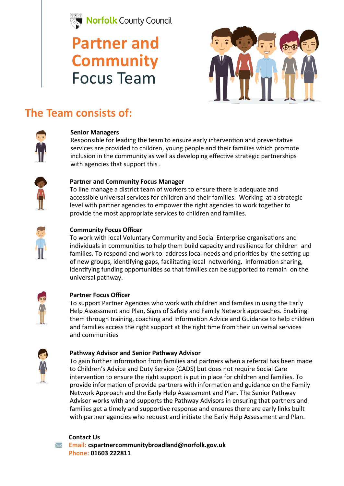

## **Partner and Community**  Focus Team



## **The Team consists of:**



### **Senior Managers**

Responsible for leading the team to ensure early intervention and preventative services are provided to children, young people and their families which promote inclusion in the community as well as developing effective strategic partnerships with agencies that support this .



### **Partner and Community Focus Manager**

To line manage a district team of workers to ensure there is adequate and accessible universal services for children and their families. Working at a strategic level with partner agencies to empower the right agencies to work together to provide the most appropriate services to children and families.



### **Community Focus Officer**

To work with local Voluntary Community and Social Enterprise organisations and individuals in communities to help them build capacity and resilience for children and families. To respond and work to address local needs and priorities by the setting up of new groups, identifying gaps, facilitating local networking, information sharing, identifying funding opportunities so that families can be supported to remain on the universal pathway.



### **Partner Focus Officer**

To support Partner Agencies who work with children and families in using the Early Help Assessment and Plan, Signs of Safety and Family Network approaches. Enabling them through training, coaching and Information Advice and Guidance to help children and families access the right support at the right time from their universal services and communities



### **Pathway Advisor and Senior Pathway Advisor**

To gain further information from families and partners when a referral has been made to Children's Advice and Duty Service (CADS) but does not require Social Care intervention to ensure the right support is put in place for children and families. To provide information of provide partners with information and guidance on the Family Network Approach and the Early Help Assessment and Plan. The Senior Pathway Advisor works with and supports the Pathway Advisors in ensuring that partners and families get a timely and supportive response and ensures there are early links built with partner agencies who request and initiate the Early Help Assessment and Plan.



**Email: cspartnercommunitybroadland@norfolk.gov.uk Phone: 01603 222811**